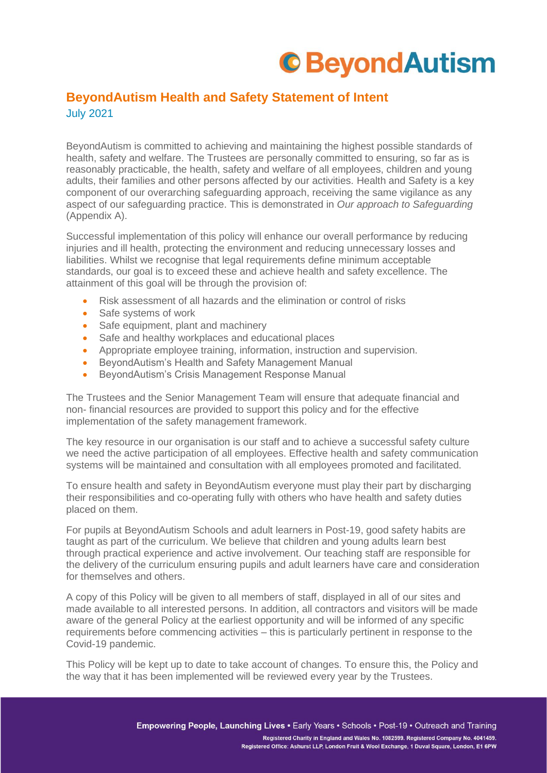## **C**BeyondAutism

## **BeyondAutism Health and Safety Statement of Intent** July 2021

BeyondAutism is committed to achieving and maintaining the highest possible standards of health, safety and welfare. The Trustees are personally committed to ensuring, so far as is reasonably practicable, the health, safety and welfare of all employees, children and young adults, their families and other persons affected by our activities. Health and Safety is a key component of our overarching safeguarding approach, receiving the same vigilance as any aspect of our safeguarding practice. This is demonstrated in *Our approach to Safeguarding* (Appendix A).

Successful implementation of this policy will enhance our overall performance by reducing injuries and ill health, protecting the environment and reducing unnecessary losses and liabilities. Whilst we recognise that legal requirements define minimum acceptable standards, our goal is to exceed these and achieve health and safety excellence. The attainment of this goal will be through the provision of:

- Risk assessment of all hazards and the elimination or control of risks
- Safe systems of work
- Safe equipment, plant and machinery
- Safe and healthy workplaces and educational places
- Appropriate employee training, information, instruction and supervision.
- BeyondAutism's Health and Safety Management Manual
- BeyondAutism's Crisis Management Response Manual

The Trustees and the Senior Management Team will ensure that adequate financial and non- financial resources are provided to support this policy and for the effective implementation of the safety management framework.

The key resource in our organisation is our staff and to achieve a successful safety culture we need the active participation of all employees. Effective health and safety communication systems will be maintained and consultation with all employees promoted and facilitated.

To ensure health and safety in BeyondAutism everyone must play their part by discharging their responsibilities and co-operating fully with others who have health and safety duties placed on them.

For pupils at BeyondAutism Schools and adult learners in Post-19, good safety habits are taught as part of the curriculum. We believe that children and young adults learn best through practical experience and active involvement. Our teaching staff are responsible for the delivery of the curriculum ensuring pupils and adult learners have care and consideration for themselves and others.

A copy of this Policy will be given to all members of staff, displayed in all of our sites and made available to all interested persons. In addition, all contractors and visitors will be made aware of the general Policy at the earliest opportunity and will be informed of any specific requirements before commencing activities – this is particularly pertinent in response to the Covid-19 pandemic.

This Policy will be kept up to date to take account of changes. To ensure this, the Policy and the way that it has been implemented will be reviewed every year by the Trustees.